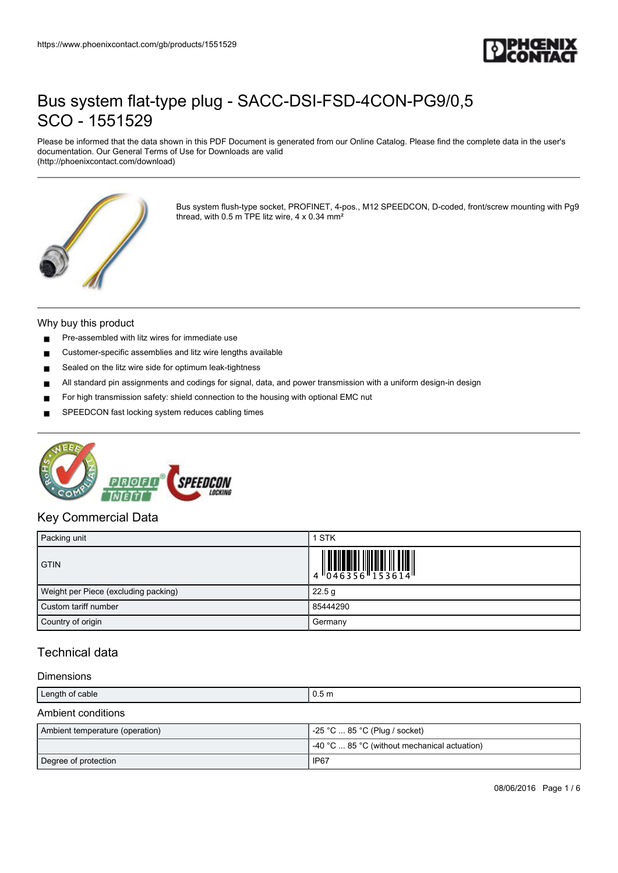

Please be informed that the data shown in this PDF Document is generated from our Online Catalog. Please find the complete data in the user's documentation. Our General Terms of Use for Downloads are valid (http://phoenixcontact.com/download)



Bus system flush-type socket, PROFINET, 4-pos., M12 SPEEDCON, D-coded, front/screw mounting with Pg9 thread, with 0.5 m TPE litz wire, 4 x 0.34 mm<sup>2</sup>

### Why buy this product

- Pre-assembled with litz wires for immediate use
- Customer-specific assemblies and litz wire lengths available
- Sealed on the litz wire side for optimum leak-tightness
- All standard pin assignments and codings for signal, data, and power transmission with a uniform design-in design
- For high transmission safety: shield connection to the housing with optional EMC nut
- SPEEDCON fast locking system reduces cabling times



## Key Commercial Data

| Packing unit                         | 1 STK                                                                                                                                                                                                                                                                                                                     |
|--------------------------------------|---------------------------------------------------------------------------------------------------------------------------------------------------------------------------------------------------------------------------------------------------------------------------------------------------------------------------|
| <b>GTIN</b>                          | $\begin{array}{c} 1 & 0 & 0 & 0 \\ 0 & 0 & 4 & 6 & 3 & 5 & 6 \\ 0 & 0 & 4 & 6 & 3 & 5 & 6 \\ 0 & 0 & 0 & 0 & 0 & 0 \\ 0 & 0 & 0 & 0 & 0 & 0 \\ 0 & 0 & 0 & 0 & 0 & 0 \\ 0 & 0 & 0 & 0 & 0 & 0 \\ 0 & 0 & 0 & 0 & 0 & 0 \\ 0 & 0 & 0 & 0 & 0 & 0 \\ 0 & 0 & 0 & 0 & 0 & 0 \\ 0 & 0 & 0 & 0 & 0 & 0 & 0 \\ 0 & 0 & 0 & 0 &$ |
| Weight per Piece (excluding packing) | 22.5 g                                                                                                                                                                                                                                                                                                                    |
| Custom tariff number                 | 85444290                                                                                                                                                                                                                                                                                                                  |
| Country of origin                    | Germany                                                                                                                                                                                                                                                                                                                   |

## Technical data

### Dimensions

| Length of cable | 0.5 <sub>m</sub> |
|-----------------|------------------|
|                 |                  |

### Ambient conditions

| Ambient temperature (operation) | -25 °C  85 °C (Plug / socket)                 |
|---------------------------------|-----------------------------------------------|
|                                 | 1-40 °C  85 °C (without mechanical actuation) |
| Degree of protection            | IP <sub>67</sub>                              |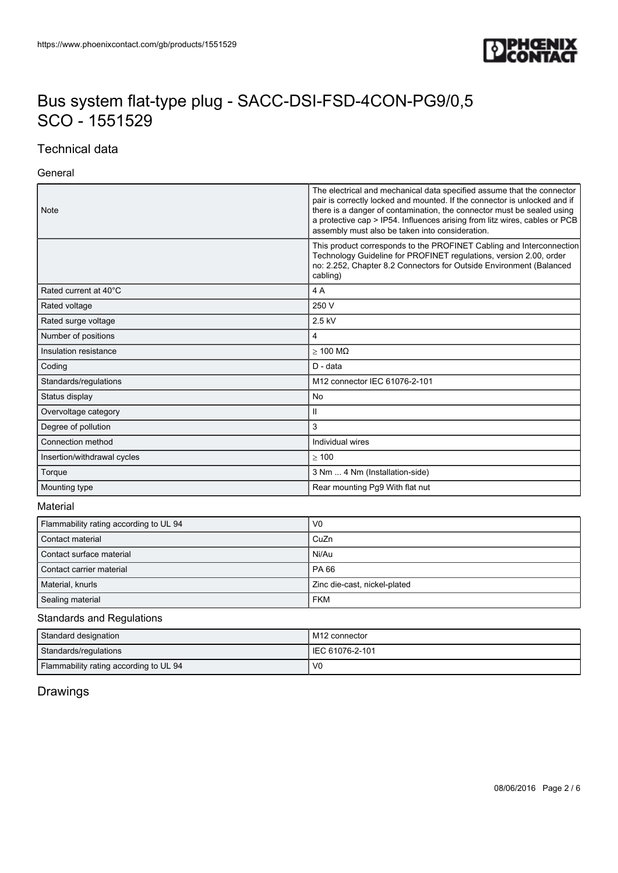

## Technical data

### General

| Note                        | The electrical and mechanical data specified assume that the connector<br>pair is correctly locked and mounted. If the connector is unlocked and if<br>there is a danger of contamination, the connector must be sealed using<br>a protective cap > IP54. Influences arising from litz wires, cables or PCB<br>assembly must also be taken into consideration. |
|-----------------------------|----------------------------------------------------------------------------------------------------------------------------------------------------------------------------------------------------------------------------------------------------------------------------------------------------------------------------------------------------------------|
|                             | This product corresponds to the PROFINET Cabling and Interconnection<br>Technology Guideline for PROFINET regulations, version 2.00, order<br>no: 2.252, Chapter 8.2 Connectors for Outside Environment (Balanced<br>cabling)                                                                                                                                  |
| Rated current at 40°C       | 4A                                                                                                                                                                                                                                                                                                                                                             |
| Rated voltage               | 250 V                                                                                                                                                                                                                                                                                                                                                          |
| Rated surge voltage         | 2.5 kV                                                                                                                                                                                                                                                                                                                                                         |
| Number of positions         | 4                                                                                                                                                                                                                                                                                                                                                              |
| Insulation resistance       | $>$ 100 M $\Omega$                                                                                                                                                                                                                                                                                                                                             |
| Coding                      | D - data                                                                                                                                                                                                                                                                                                                                                       |
| Standards/regulations       | M12 connector IEC 61076-2-101                                                                                                                                                                                                                                                                                                                                  |
| Status display              | No                                                                                                                                                                                                                                                                                                                                                             |
| Overvoltage category        | $\mathbf{II}$                                                                                                                                                                                                                                                                                                                                                  |
| Degree of pollution         | 3                                                                                                                                                                                                                                                                                                                                                              |
| Connection method           | Individual wires                                                                                                                                                                                                                                                                                                                                               |
| Insertion/withdrawal cycles | $\geq 100$                                                                                                                                                                                                                                                                                                                                                     |
| Torque                      | 3 Nm  4 Nm (Installation-side)                                                                                                                                                                                                                                                                                                                                 |
| Mounting type               | Rear mounting Pg9 With flat nut                                                                                                                                                                                                                                                                                                                                |
|                             |                                                                                                                                                                                                                                                                                                                                                                |

### Material

| Flammability rating according to UL 94 | V <sub>0</sub>               |
|----------------------------------------|------------------------------|
| Contact material                       | CuZn                         |
| Contact surface material               | Ni/Au                        |
| Contact carrier material               | <b>PA 66</b>                 |
| Material, knurls                       | Zinc die-cast, nickel-plated |
| Sealing material                       | <b>FKM</b>                   |

## Standards and Regulations

| Standard designation                   | M <sub>12</sub> connector |
|----------------------------------------|---------------------------|
| Standards/regulations                  | I IEC 61076-2-101         |
| Flammability rating according to UL 94 | V0                        |

## Drawings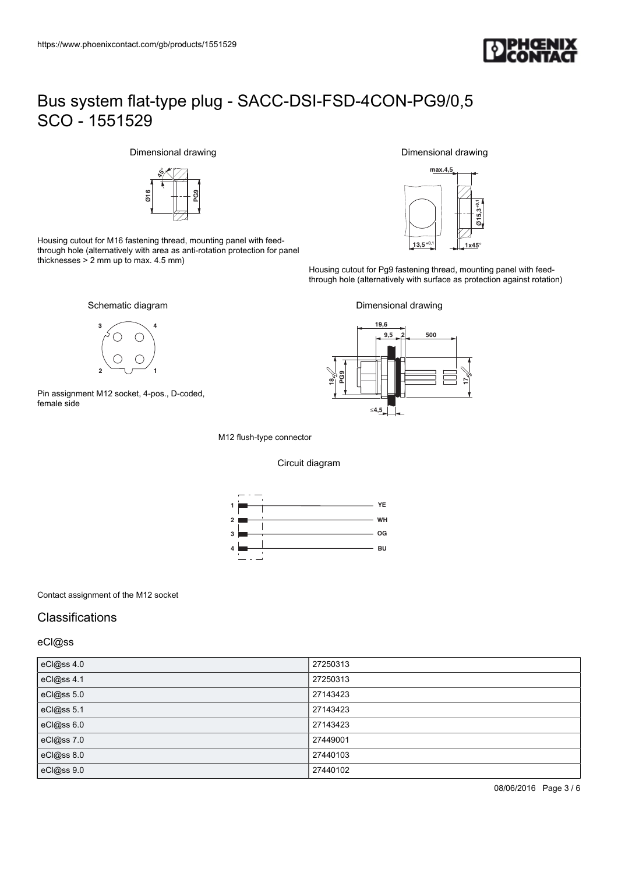

### Dimensional drawing



Housing cutout for M16 fastening thread, mounting panel with feedthrough hole (alternatively with area as anti-rotation protection for panel thicknesses > 2 mm up to max. 4.5 mm)

Dimensional drawing



Housing cutout for Pg9 fastening thread, mounting panel with feedthrough hole (alternatively with surface as protection against rotation)





Pin assignment M12 socket, 4-pos., D-coded, female side



M12 flush-type connector

#### Circuit diagram



### Contact assignment of the M12 socket

## **Classifications**

eCl@ss

| eCl@ss 4.0 | 27250313 |
|------------|----------|
| eCl@ss 4.1 | 27250313 |
| eCl@ss 5.0 | 27143423 |
| eCl@ss 5.1 | 27143423 |
| eCl@ss 6.0 | 27143423 |
| eCl@ss 7.0 | 27449001 |
| eCl@ss 8.0 | 27440103 |
| eCl@ss 9.0 | 27440102 |
|            |          |

08/06/2016 Page 3 / 6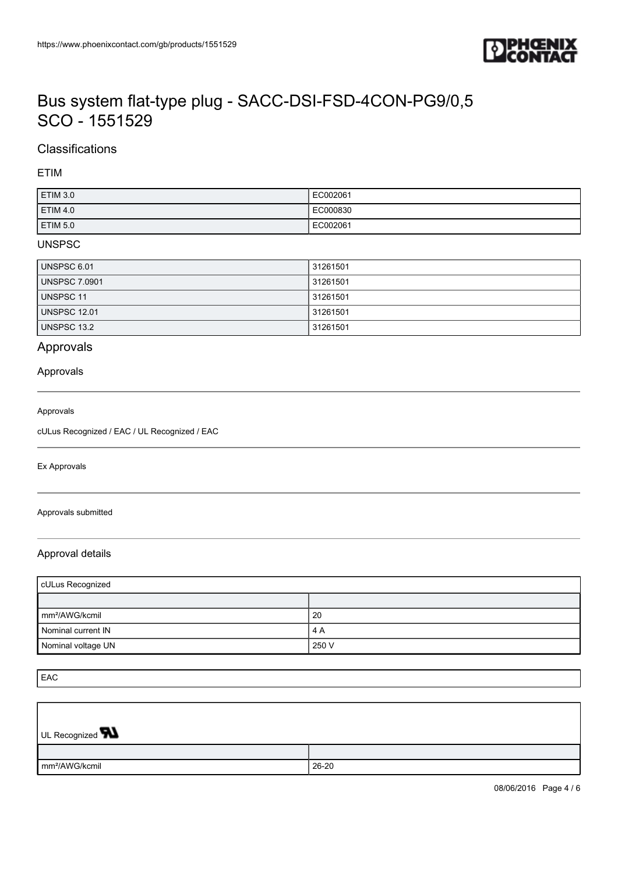

## **Classifications**

ETIM

| ETIM 3.0            | EC002061 |
|---------------------|----------|
| ETIM 4.0            | EC000830 |
| ETIM <sub>5.0</sub> | EC002061 |

### UNSPSC

| UNSPSC 6.01          | 31261501 |
|----------------------|----------|
| <b>UNSPSC 7.0901</b> | 31261501 |
| UNSPSC 11            | 31261501 |
| <b>UNSPSC 12.01</b>  | 31261501 |
| UNSPSC 13.2          | 31261501 |

## Approvals

### Approvals

#### Approvals

cULus Recognized / EAC / UL Recognized / EAC

Ex Approvals

#### Approvals submitted

### Approval details

| <b>CULus Recognized</b>    |       |
|----------------------------|-------|
|                            |       |
| mm <sup>2</sup> /AWG/kcmil | 20    |
| Nominal current IN         | 4A    |
| Nominal voltage UN         | 250 V |

EAC

 $\overline{\phantom{a}}$ 

| UL Recognized <b>W</b>     |       |
|----------------------------|-------|
|                            |       |
| mm <sup>2</sup> /AWG/kcmil | 26-20 |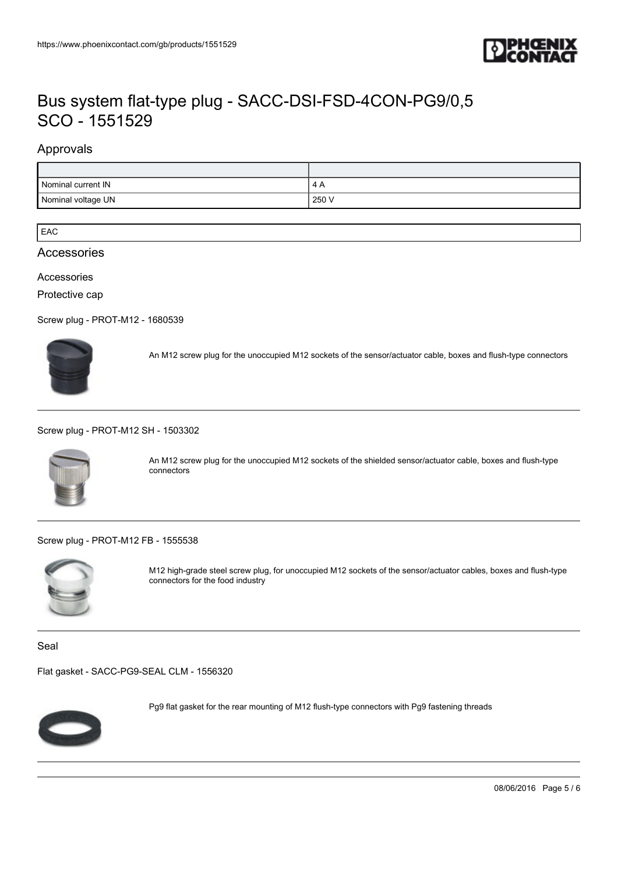

## Approvals

| Nominal current IN | 4 A   |
|--------------------|-------|
| Nominal voltage UN | 250 V |

EAC

### Accessories

### Accessories

Protective cap

[Screw plug - PROT-M12 - 1680539](https://www.phoenixcontact.com/gb/products/1680539)



An M12 screw plug for the unoccupied M12 sockets of the sensor/actuator cable, boxes and flush-type connectors

### [Screw plug - PROT-M12 SH - 1503302](https://www.phoenixcontact.com/gb/products/1503302)



An M12 screw plug for the unoccupied M12 sockets of the shielded sensor/actuator cable, boxes and flush-type connectors

#### [Screw plug - PROT-M12 FB - 1555538](https://www.phoenixcontact.com/gb/products/1555538)



M12 high-grade steel screw plug, for unoccupied M12 sockets of the sensor/actuator cables, boxes and flush-type connectors for the food industry

Seal

[Flat gasket - SACC-PG9-SEAL CLM - 1556320](https://www.phoenixcontact.com/gb/products/1556320)



Pg9 flat gasket for the rear mounting of M12 flush-type connectors with Pg9 fastening threads